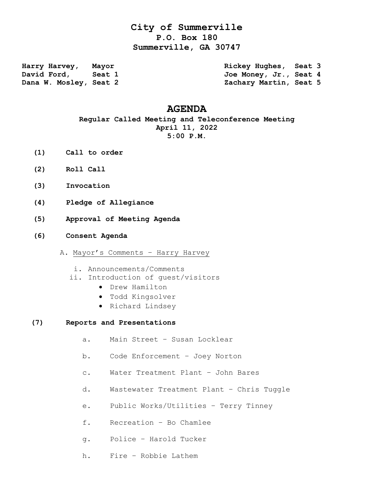# **City of Summerville P.O. Box 180 Summerville, GA 30747**

**Harry Harvey, Mayor Rickey Hughes, Seat 3** David Ford, Seat 1 300 Joe Money, Jr., Seat 4 **Dana W. Mosley, Seat 2 Zachary Martin, Seat 5** 

## **AGENDA**

**Regular Called Meeting and Teleconference Meeting April 11, 2022 5:00 P.M.**

- **(1) Call to order**
- **(2) Roll Call**
- **(3) Invocation**
- **(4) Pledge of Allegiance**
- **(5) Approval of Meeting Agenda**
- **(6) Consent Agenda**
	- A. Mayor's Comments Harry Harvey
		- i. Announcements/Comments
		- ii. Introduction of guest/visitors
			- Drew Hamilton
			- Todd Kingsolver
			- Richard Lindsey

### **(7) Reports and Presentations**

- a. Main Street Susan Locklear
- b. Code Enforcement Joey Norton
- c. Water Treatment Plant John Bares
- d. Wastewater Treatment Plant Chris Tuggle
- e. Public Works/Utilities Terry Tinney
- f. Recreation Bo Chamlee
- g. Police Harold Tucker
- h. Fire Robbie Lathem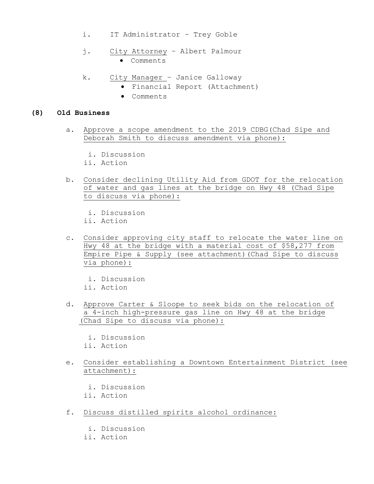- i. IT Administrator Trey Goble
- j. City Attorney Albert Palmour Comments
- k. City Manager Janice Galloway
	- Financial Report (Attachment)
	- Comments

#### **(8) Old Business**

- a. Approve a scope amendment to the 2019 CDBG(Chad Sipe and Deborah Smith to discuss amendment via phone):
	- i. Discussion
	- ii. Action
- b. Consider declining Utility Aid from GDOT for the relocation of water and gas lines at the bridge on Hwy 48 (Chad Sipe to discuss via phone):
	- i. Discussion
	- ii. Action
- c. Consider approving city staff to relocate the water line on Hwy 48 at the bridge with a material cost of \$58,277 from Empire Pipe & Supply (see attachment)(Chad Sipe to discuss via phone):
	- i. Discussion
	- ii. Action
- d. Approve Carter & Sloope to seek bids on the relocation of a 4-inch high-pressure gas line on Hwy 48 at the bridge (Chad Sipe to discuss via phone):
	- i. Discussion ii. Action
- e. Consider establishing a Downtown Entertainment District (see attachment):
	- i. Discussion
	- ii. Action
- f. Discuss distilled spirits alcohol ordinance:
	- i. Discussion
	- ii. Action